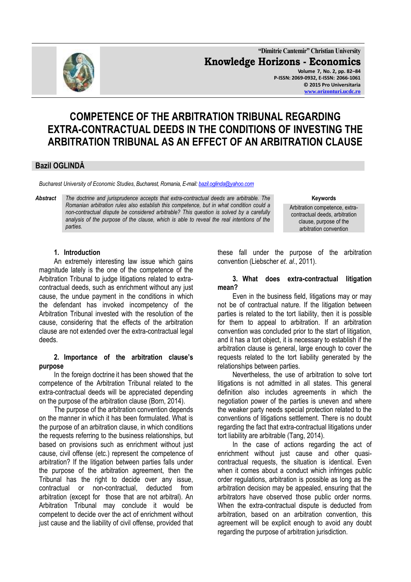

**"Dimitrie Cantemir" Christian University Knowledge Horizons - Economics Volume 7, No. 2, pp. 82–84 P-ISSN: 2069-0932, E-ISSN: 2066-1061 © 2015 Pro Universitaria [www.orizonturi.ucdc.ro](http://www.orizonturi.ucdc.ro/)**

# **COMPETENCE OF THE ARBITRATION TRIBUNAL REGARDING EXTRA-CONTRACTUAL DEEDS IN THE CONDITIONS OF INVESTING THE ARBITRATION TRIBUNAL AS AN EFFECT OF AN ARBITRATION CLAUSE**

#### **Bazil OGLINDĂ**

*Bucharest University of Economic Studies, Bucharest, Romania, E-mail[: bazil.oglinda@yahoo.com](mailto:bazil.oglinda@yahoo.com)*

*Abstract The doctrine and jurisprudence accepts that extra-contractual deeds are arbitrable. The Romanian arbitration rules also establish this competence, but in what condition could a non-contractual dispute be considered arbitrable? This question is solved by a carefully analysis of the purpose of the clause, which is able to reveal the real intentions of the parties.*

#### **Keywords**

Arbitration competence, extracontractual deeds, arbitration clause, purpose of the arbitration convention

#### **1. Introduction**

An extremely interesting law issue which gains magnitude lately is the one of the competence of the Arbitration Tribunal to judge litigations related to extracontractual deeds, such as enrichment without any just cause, the undue payment in the conditions in which the defendant has invoked incompetency of the Arbitration Tribunal invested with the resolution of the cause, considering that the effects of the arbitration clause are not extended over the extra-contractual legal deeds.

#### **2. Importance of the arbitration clause's purpose**

In the foreign doctrine it has been showed that the competence of the Arbitration Tribunal related to the extra-contractual deeds will be appreciated depending on the purpose of the arbitration clause (Born, 2014).

The purpose of the arbitration convention depends on the manner in which it has been formulated. What is the purpose of an arbitration clause, in which conditions the requests referring to the business relationships, but based on provisions such as enrichment without just cause, civil offense (etc.) represent the competence of arbitration? If the litigation between parties falls under the purpose of the arbitration agreement, then the Tribunal has the right to decide over any issue, contractual or non-contractual, deducted from arbitration (except for those that are not arbitral). An Arbitration Tribunal may conclude it would be competent to decide over the act of enrichment without just cause and the liability of civil offense, provided that these fall under the purpose of the arbitration convention (Liebscher *et. al*., 2011).

#### **3. What does extra-contractual litigation mean?**

Even in the business field, litigations may or may not be of contractual nature. If the litigation between parties is related to the tort liability, then it is possible for them to appeal to arbitration. If an arbitration convention was concluded prior to the start of litigation, and it has a tort object, it is necessary to establish if the arbitration clause is general, large enough to cover the requests related to the tort liability generated by the relationships between parties.

Nevertheless, the use of arbitration to solve tort litigations is not admitted in all states. This general definition also includes agreements in which the negotiation power of the parties is uneven and where the weaker party needs special protection related to the conventions of litigations settlement. There is no doubt regarding the fact that extra-contractual litigations under tort liability are arbitrable (Tang, 2014).

In the case of actions regarding the act of enrichment without just cause and other quasicontractual requests, the situation is identical. Even when it comes about a conduct which infringes public order regulations, arbitration is possible as long as the arbitration decision may be appealed, ensuring that the arbitrators have observed those public order norms. When the extra-contractual dispute is deducted from arbitration, based on an arbitration convention, this agreement will be explicit enough to avoid any doubt regarding the purpose of arbitration jurisdiction.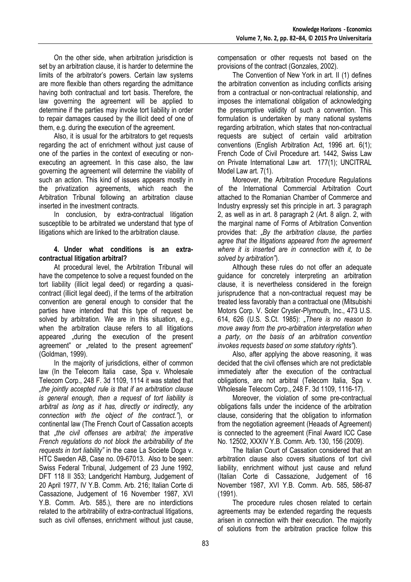On the other side, when arbitration jurisdiction is set by an arbitration clause, it is harder to determine the limits of the arbitrator's powers. Certain law systems are more flexible than others regarding the admittance having both contractual and tort basis. Therefore, the law governing the agreement will be applied to determine if the parties may invoke tort liability in order to repair damages caused by the illicit deed of one of them, e.g. during the execution of the agreement.

Also, it is usual for the arbitrators to get requests regarding the act of enrichment without just cause of one of the parties in the context of executing or nonexecuting an agreement. In this case also, the law governing the agreement will determine the viability of such an action. This kind of issues appears mostly in the privatization agreements, which reach the Arbitration Tribunal following an arbitration clause inserted in the investment contracts.

In conclusion, by extra-contractual litigation susceptible to be arbitrated we understand that type of litigations which are linked to the arbitration clause.

#### **4. Under what conditions is an extracontractual litigation arbitral?**

At procedural level, the Arbitration Tribunal will have the competence to solve a request founded on the tort liability (illicit legal deed) or regarding a quasicontract (illicit legal deed), if the terms of the arbitration convention are general enough to consider that the parties have intended that this type of request be solved by arbitration. We are in this situation, e.g., when the arbitration clause refers to all litigations appeared ", during the execution of the present agreement" or "related to the present agreement" (Goldman, 1999).

In the majority of jurisdictions, either of common law (In the Telecom Italia case, Spa v. Wholesale Telecom Corp., 248 F. 3d 1109, 1114 it was stated that *"the jointly accepted rule is that if an arbitration clause is general enough, then a request of tort liability is arbitral as long as it has, directly or indirectly, any connection with the object of the contract."*), or continental law (The French Court of Cassation accepts that "*the civil offenses are arbitral; the imperative French regulations do not block the arbitrability of the requests in tort liability"* in the case La Societe Doga v. HTC Sweden AB, Case no. 09-67013. Also to be seen: Swiss Federal Tribunal, Judgement of 23 June 1992, DFT 118 II 353; Landgericht Hamburg, Judgement of 20 April 1977, IV Y.B. Comm. Arb. 216; Italian Corte di Cassazione, Judgement of 16 November 1987, XVI Y.B. Comm. Arb. 585.), there are no interdictions related to the arbitrability of extra-contractual litigations, such as civil offenses, enrichment without just cause, compensation or other requests not based on the provisions of the contract (Gonzales, 2002).

The Convention of New York in art. II (1) defines the arbitration convention as including conflicts arising from a contractual or non-contractual relationship, and imposes the international obligation of acknowledging the presumptive validity of such a convention. This formulation is undertaken by many national systems regarding arbitration, which states that non-contractual requests are subject of certain valid arbitration conventions (English Arbitration Act, 1996 art. 6(1); French Code of Civil Procedure art. 1442, Swiss Law on Private International Law art. 177(1); UNCITRAL Model Law art. 7(1).

Moreover, the Arbitration Procedure Regulations of the International Commercial Arbitration Court attached to the Romanian Chamber of Commerce and Industry expressly set this principle in art. 3 paragraph 2, as well as in art. 8 paragraph 2 (Art. 8 align. 2, with the marginal name of Forms of Arbitration Convention provides that: "*By the arbitration clause, the parties agree that the litigations appeared from the agreement where it is inserted are in connection with it, to be solved by arbitration"*).

Although these rules do not offer an adequate guidance for concretely interpreting an arbitration clause, it is nevertheless considered in the foreign jurisprudence that a non-contractual request may be treated less favorably than a contractual one (Mitsubishi Motors Corp. V. Soler Crysler-Plymouth, Inc., 473 U.S. 614, 626 (U.S. S.Ct. 1985): "*There is no reason to move away from the pro-arbitration interpretation when a party, on the basis of an arbitration convention invokes requests based on some statutory rights"*).

Also, after applying the above reasoning, it was decided that the civil offenses which are not predictable immediately after the execution of the contractual obligations, are not arbitral (Telecom Italia, Spa v. Wholesale Telecom Corp., 248 F. 3d 1109, 1116-17).

Moreover, the violation of some pre-contractual obligations falls under the incidence of the arbitration clause, considering that the obligation to information from the negotiation agreement (Heaads of Agreement) is connected to the agreement (Final Award ICC Case No. 12502, XXXIV Y.B. Comm. Arb. 130, 156 (2009).

The Italian Court of Cassation considered that an arbitration clause also covers situations of tort civil liability, enrichment without just cause and refund (Italian Corte di Cassazione, Judgement of 16 November 1987, XVI Y.B. Comm. Arb. 585, 586-87 (1991).

The procedure rules chosen related to certain agreements may be extended regarding the requests arisen in connection with their execution. The majority of solutions from the arbitration practice follow this